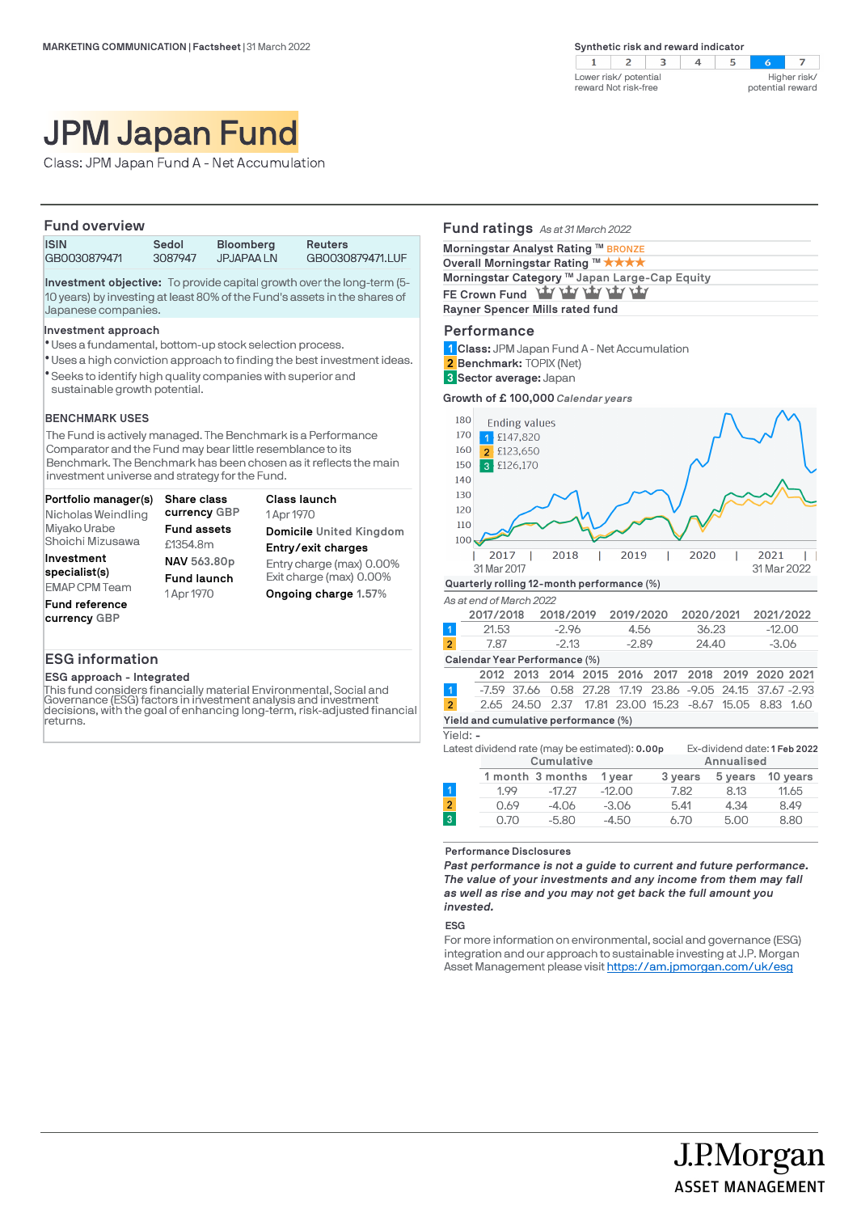| ver risk/ potential<br>ard Not risk-free |  | potential reward | Higher risk/ |
|------------------------------------------|--|------------------|--------------|

# JPM Japan Fund

Class: JPM Japan Fund A - Net Accumulation

# **Fund overview ISIN Sedol Bloomberg Reuters** GB0030879471.LUF

**Investment objective:** To provide capital growth over the long-term (5- 10 years) by investing at least 80% of the Fund's assets in the shares of Japanese companies.

#### **Investment approach**

- Uses a fundamental, bottom-up stock selection process. l
- Uses a high conviction approach to finding the best investment ideas. l
- Seeks to identify high quality companies with superior and l sustainable growth potential.

## **BENCHMARK USES**

The Fund is actively managed. The Benchmark is a Performance Comparator and the Fund may bear little resemblance to its Benchmark. The Benchmark has been chosen as it reflects the main investment universe and strategy for the Fund.

| Portfolio manager(s)<br>Nicholas Weindling | Share class<br>currency GBP | Class launch<br>1 Apr 1970 |
|--------------------------------------------|-----------------------------|----------------------------|
| Miyako Urabe                               | <b>Fund assets</b>          | Domicile United Kingdom    |
| Shoichi Mizusawa                           | £1354.8m                    | Entry/exit charges         |
| Investment                                 | NAV 563.80p                 | Entry charge (max) 0.00%   |
| specialist(s)                              | <b>Fund launch</b>          | Exit charge (max) 0.00%    |
| <b>EMAP CPM Team</b>                       | 1 Apr 1970                  | Ongoing charge 1.57%       |
| Fund reference<br>currency GBP             |                             |                            |

## **ESG information**

**ESG approach - Integrated**

This fund considers financially material Environmental, Social and Governance (ESG) factors in investment analysis and investment decisions, with the goal of enhancing long-term, risk-adjusted financial returns.

# **Fund ratings** *As at 31 March 2022* **Performance Morningstar Analyst Rating <sup>™</sup> BRONZE Overall Morningstar Rating ™ ★ ★ ★** ★ Morningstar Category ™ Japan Large-Cap Equity FE Crown Fund **LLY LLY LLY LLY Rayner Spencer Mills rated fund**

**Class:** JPM Japan Fund A - Net Accumulation **1**

 $\overline{\phantom{a}}$  row  $r \approx 1$ 

- **Benchmark:** TOPIX (Net) **2**
- **Sector average:** Japan **3**

**Growth of £ 100,000** *Calendar years*



|                               | 2017/2018 |         | 2018/2019 2019/2020 | 2020/2021 2021/2022 |          |  |  |
|-------------------------------|-----------|---------|---------------------|---------------------|----------|--|--|
|                               | 21.53     | $-2.96$ | 4.56                | 36.23               | $-12.00$ |  |  |
| $\overline{2}$                | 7.87      | $-2.13$ | $-289$              | 24.40               | $-3.06$  |  |  |
| Calendar Year Performance (%) |           |         |                     |                     |          |  |  |

|                                      |  |  | 2012 2013 2014 2015 2016 2017 2018 2019 2020 2021          |  |  |  |  |  |  |  |
|--------------------------------------|--|--|------------------------------------------------------------|--|--|--|--|--|--|--|
| $\vert$ 1                            |  |  | -7.59 37.66 0.58 27.28 17.19 23.86 -9.05 24.15 37.67 -2.93 |  |  |  |  |  |  |  |
| $\overline{2}$                       |  |  | 2.65 24.50 2.37 17.81 23.00 15.23 -8.67 15.05 8.83 1.60    |  |  |  |  |  |  |  |
| Yield and cumulative performance (%) |  |  |                                                            |  |  |  |  |  |  |  |

Yield: **-**

|                |      | Latest dividend rate (may be estimated): 0.00p |          | Ex-dividend date: 1 Feb 2022 |            |          |  |
|----------------|------|------------------------------------------------|----------|------------------------------|------------|----------|--|
|                |      | Cumulative                                     |          |                              | Annualised |          |  |
|                |      | 1 month 3 months                               | 1 vear   | 3 years                      | 5 years    | 10 years |  |
|                | 1.99 | $-17.27$                                       | $-12.00$ | 7.82                         | 8.13       | 11.65    |  |
| $\overline{2}$ | 0.69 | $-4.06$                                        | $-3.06$  | 5.41                         | 4.34       | 8.49     |  |
| $\overline{3}$ | 0.70 | $-5.80$                                        | $-4.50$  | 6.70                         | 5.00       | 8.80     |  |
|                |      |                                                |          |                              |            |          |  |

**Performance Disclosures**

*Past performance is not a guide to current and future performance. The value of your investments and any income from them may fall as well as rise and you may not get back the full amount you invested.* 

#### **ESG**

For more information on environmental, social and governance (ESG) integration and our approach to sustainable investing at J.P. Morgan Asset Management please visit https://am.jpmorgan.com/uk/esg

J.P.Morgan

**ASSET MANAGEMENT**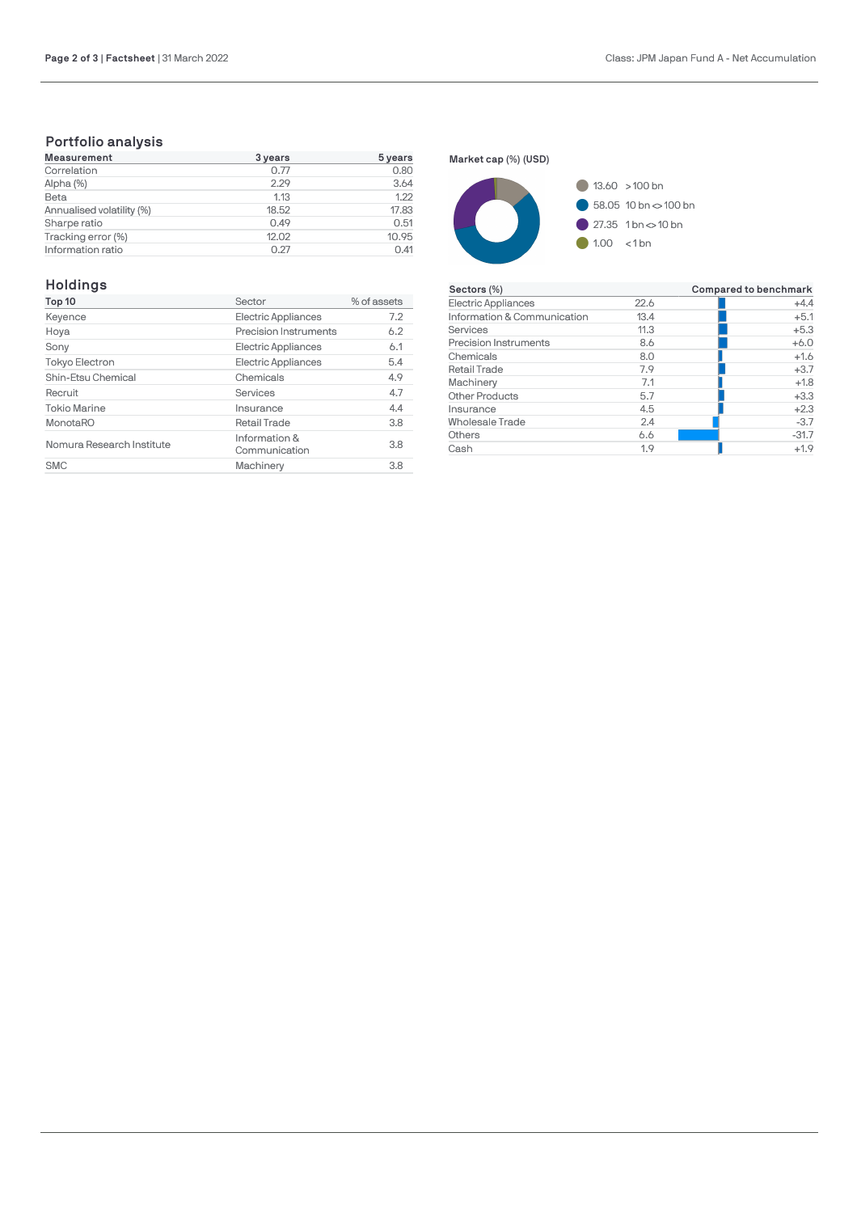# **Portfolio analysis**

| <b>Measurement</b>        | 3 years | 5 years |  |
|---------------------------|---------|---------|--|
| Correlation               | 0.77    | 0.80    |  |
| Alpha (%)                 | 2.29    | 3.64    |  |
| Beta                      | 1.13    | 1.22    |  |
| Annualised volatility (%) | 18.52   | 17.83   |  |
| Sharpe ratio              | 0.49    | 0.51    |  |
| Tracking error (%)        | 12.02   | 10.95   |  |
| Information ratio         | 0.27    | 0.41    |  |

# **Holdings**

| Top 10                    | Sector                         | % of assets |
|---------------------------|--------------------------------|-------------|
| Keyence                   | Electric Appliances            | 7.2         |
| Hoya                      | Precision Instruments          | 6.2         |
| Sony                      | Electric Appliances            | 6.1         |
| Tokyo Electron            | Electric Appliances            | 5.4         |
| Shin-Etsu Chemical        | Chemicals                      | 4.9         |
| Recruit                   | Services                       | 4.7         |
| <b>Tokio Marine</b>       | Insurance                      | 4.4         |
| <b>MonotaRO</b>           | <b>Retail Trade</b>            | 3.8         |
| Nomura Research Institute | Information &<br>Communication | 3.8         |
| <b>SMC</b>                | Machinery                      | 3.8         |

**Market cap (%) (USD)**



| Sectors (%)                  |      | Compared to benchmark |
|------------------------------|------|-----------------------|
| Electric Appliances          | 22.6 | $+4.4$                |
| Information & Communication  | 13.4 | $+5.1$                |
| Services                     | 11.3 | $+5.3$                |
| <b>Precision Instruments</b> | 8.6  | $+6.0$                |
| Chemicals                    | 8.0  | $+1.6$                |
| <b>Retail Trade</b>          | 7.9  | $+3.7$                |
| Machinery                    | 7.1  | $+1.8$                |
| <b>Other Products</b>        | 5.7  | $+3.3$                |
| Insurance                    | 4.5  | $+2.3$                |
| Wholesale Trade              | 2.4  | $-3.7$                |
| Others                       | 6.6  | $-31.7$               |
| Cash                         | 1.9  | $+1.9$                |